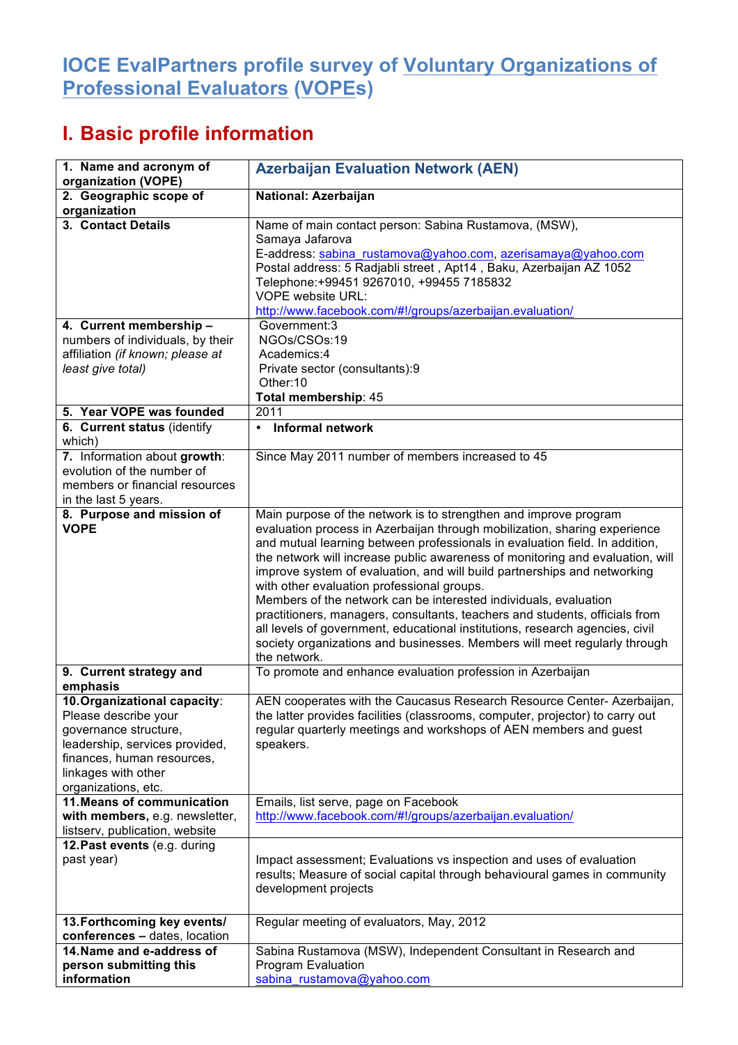## **IOCE EvalPartners profile survey of Voluntary Organizations of Professional Evaluators (VOPEs)**

## **I. Basic profile information**

| 1. Name and acronym of<br>organization (VOPE)                                                                                                                                               | <b>Azerbaijan Evaluation Network (AEN)</b>                                                                                                                                                                                                                                                                                                                                                                                                                                                                                                                                                                                                                                                                                                                              |
|---------------------------------------------------------------------------------------------------------------------------------------------------------------------------------------------|-------------------------------------------------------------------------------------------------------------------------------------------------------------------------------------------------------------------------------------------------------------------------------------------------------------------------------------------------------------------------------------------------------------------------------------------------------------------------------------------------------------------------------------------------------------------------------------------------------------------------------------------------------------------------------------------------------------------------------------------------------------------------|
| 2. Geographic scope of<br>organization                                                                                                                                                      | National: Azerbaijan                                                                                                                                                                                                                                                                                                                                                                                                                                                                                                                                                                                                                                                                                                                                                    |
| 3. Contact Details                                                                                                                                                                          | Name of main contact person: Sabina Rustamova, (MSW),<br>Samaya Jafarova<br>E-address: sabina_rustamova@yahoo.com, azerisamaya@yahoo.com<br>Postal address: 5 Radjabli street, Apt14, Baku, Azerbaijan AZ 1052<br>Telephone: +99451 9267010, +99455 7185832<br><b>VOPE website URL:</b><br>http://www.facebook.com/#!/groups/azerbaijan.evaluation/                                                                                                                                                                                                                                                                                                                                                                                                                     |
| 4. Current membership -<br>numbers of individuals, by their<br>affiliation (if known; please at<br>least give total)                                                                        | Government:3<br>NGOs/CSOs:19<br>Academics:4<br>Private sector (consultants):9<br>Other:10<br>Total membership: 45                                                                                                                                                                                                                                                                                                                                                                                                                                                                                                                                                                                                                                                       |
| 5. Year VOPE was founded                                                                                                                                                                    | 2011                                                                                                                                                                                                                                                                                                                                                                                                                                                                                                                                                                                                                                                                                                                                                                    |
| 6. Current status (identify<br>which)                                                                                                                                                       | <b>Informal network</b><br>$\bullet$                                                                                                                                                                                                                                                                                                                                                                                                                                                                                                                                                                                                                                                                                                                                    |
| 7. Information about growth:<br>evolution of the number of<br>members or financial resources<br>in the last 5 years.                                                                        | Since May 2011 number of members increased to 45                                                                                                                                                                                                                                                                                                                                                                                                                                                                                                                                                                                                                                                                                                                        |
| 8. Purpose and mission of<br><b>VOPE</b>                                                                                                                                                    | Main purpose of the network is to strengthen and improve program<br>evaluation process in Azerbaijan through mobilization, sharing experience<br>and mutual learning between professionals in evaluation field. In addition,<br>the network will increase public awareness of monitoring and evaluation, will<br>improve system of evaluation, and will build partnerships and networking<br>with other evaluation professional groups.<br>Members of the network can be interested individuals, evaluation<br>practitioners, managers, consultants, teachers and students, officials from<br>all levels of government, educational institutions, research agencies, civil<br>society organizations and businesses. Members will meet regularly through<br>the network. |
| 9. Current strategy and<br>emphasis                                                                                                                                                         | To promote and enhance evaluation profession in Azerbaijan                                                                                                                                                                                                                                                                                                                                                                                                                                                                                                                                                                                                                                                                                                              |
| 10. Organizational capacity:<br>Please describe your<br>governance structure,<br>leadership, services provided,<br>finances, human resources,<br>linkages with other<br>organizations, etc. | AEN cooperates with the Caucasus Research Resource Center- Azerbaijan,<br>the latter provides facilities (classrooms, computer, projector) to carry out<br>regular quarterly meetings and workshops of AEN members and guest<br>speakers.                                                                                                                                                                                                                                                                                                                                                                                                                                                                                                                               |
| 11. Means of communication<br>with members, e.g. newsletter,<br>listserv, publication, website                                                                                              | Emails, list serve, page on Facebook<br>http://www.facebook.com/#!/groups/azerbaijan.evaluation/                                                                                                                                                                                                                                                                                                                                                                                                                                                                                                                                                                                                                                                                        |
| 12. Past events (e.g. during<br>past year)                                                                                                                                                  | Impact assessment; Evaluations vs inspection and uses of evaluation<br>results; Measure of social capital through behavioural games in community<br>development projects                                                                                                                                                                                                                                                                                                                                                                                                                                                                                                                                                                                                |
| 13. Forthcoming key events/<br>conferences - dates, location                                                                                                                                | Regular meeting of evaluators, May, 2012                                                                                                                                                                                                                                                                                                                                                                                                                                                                                                                                                                                                                                                                                                                                |
| 14. Name and e-address of<br>person submitting this<br>information                                                                                                                          | Sabina Rustamova (MSW), Independent Consultant in Research and<br>Program Evaluation<br>sabina_rustamova@yahoo.com                                                                                                                                                                                                                                                                                                                                                                                                                                                                                                                                                                                                                                                      |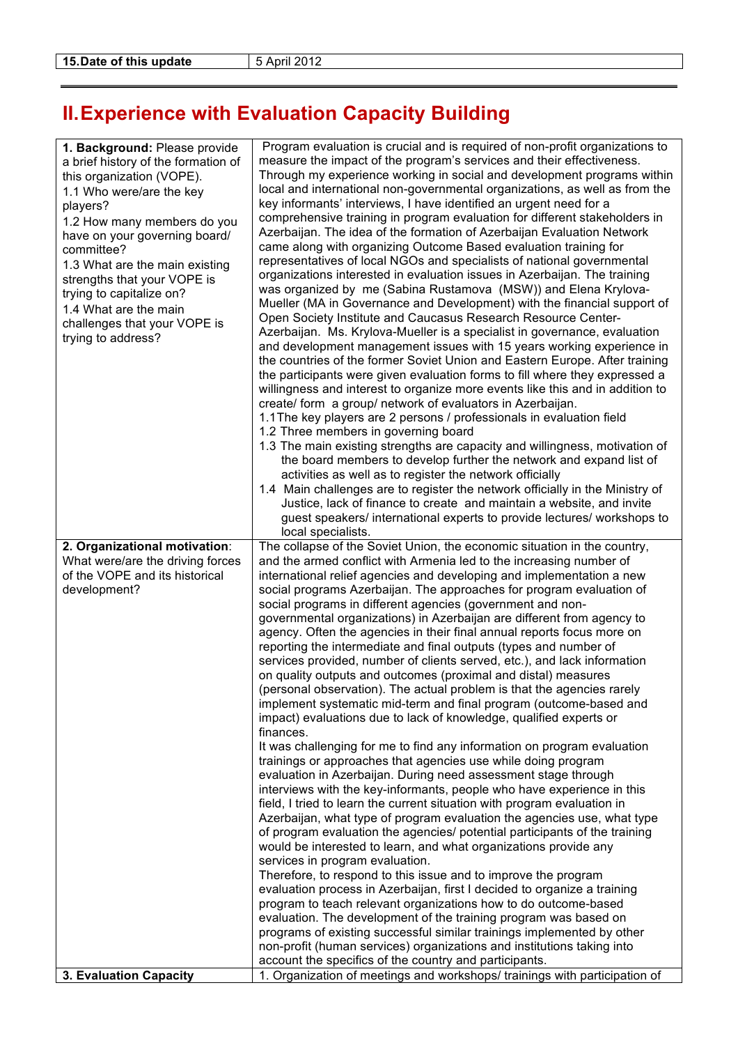## **II.Experience with Evaluation Capacity Building**

| 1. Background: Please provide<br>a brief history of the formation of<br>this organization (VOPE).<br>1.1 Who were/are the key<br>players?<br>1.2 How many members do you<br>have on your governing board/<br>committee?<br>1.3 What are the main existing<br>strengths that your VOPE is<br>trying to capitalize on?<br>1.4 What are the main<br>challenges that your VOPE is<br>trying to address? | Program evaluation is crucial and is required of non-profit organizations to<br>measure the impact of the program's services and their effectiveness.<br>Through my experience working in social and development programs within<br>local and international non-governmental organizations, as well as from the<br>key informants' interviews, I have identified an urgent need for a<br>comprehensive training in program evaluation for different stakeholders in<br>Azerbaijan. The idea of the formation of Azerbaijan Evaluation Network<br>came along with organizing Outcome Based evaluation training for<br>representatives of local NGOs and specialists of national governmental<br>organizations interested in evaluation issues in Azerbaijan. The training<br>was organized by me (Sabina Rustamova (MSW)) and Elena Krylova-<br>Mueller (MA in Governance and Development) with the financial support of<br>Open Society Institute and Caucasus Research Resource Center-<br>Azerbaijan. Ms. Krylova-Mueller is a specialist in governance, evaluation<br>and development management issues with 15 years working experience in<br>the countries of the former Soviet Union and Eastern Europe. After training<br>the participants were given evaluation forms to fill where they expressed a<br>willingness and interest to organize more events like this and in addition to<br>create/ form a group/ network of evaluators in Azerbaijan.<br>1.1 The key players are 2 persons / professionals in evaluation field<br>1.2 Three members in governing board<br>1.3 The main existing strengths are capacity and willingness, motivation of<br>the board members to develop further the network and expand list of<br>activities as well as to register the network officially<br>1.4 Main challenges are to register the network officially in the Ministry of<br>Justice, lack of finance to create and maintain a website, and invite<br>guest speakers/ international experts to provide lectures/ workshops to                                                                             |
|-----------------------------------------------------------------------------------------------------------------------------------------------------------------------------------------------------------------------------------------------------------------------------------------------------------------------------------------------------------------------------------------------------|-----------------------------------------------------------------------------------------------------------------------------------------------------------------------------------------------------------------------------------------------------------------------------------------------------------------------------------------------------------------------------------------------------------------------------------------------------------------------------------------------------------------------------------------------------------------------------------------------------------------------------------------------------------------------------------------------------------------------------------------------------------------------------------------------------------------------------------------------------------------------------------------------------------------------------------------------------------------------------------------------------------------------------------------------------------------------------------------------------------------------------------------------------------------------------------------------------------------------------------------------------------------------------------------------------------------------------------------------------------------------------------------------------------------------------------------------------------------------------------------------------------------------------------------------------------------------------------------------------------------------------------------------------------------------------------------------------------------------------------------------------------------------------------------------------------------------------------------------------------------------------------------------------------------------------------------------------------------------------------------------------------------------------------------------------------------------------------------------------------------|
|                                                                                                                                                                                                                                                                                                                                                                                                     | local specialists.                                                                                                                                                                                                                                                                                                                                                                                                                                                                                                                                                                                                                                                                                                                                                                                                                                                                                                                                                                                                                                                                                                                                                                                                                                                                                                                                                                                                                                                                                                                                                                                                                                                                                                                                                                                                                                                                                                                                                                                                                                                                                              |
| 2. Organizational motivation:<br>What were/are the driving forces<br>of the VOPE and its historical<br>development?                                                                                                                                                                                                                                                                                 | The collapse of the Soviet Union, the economic situation in the country,<br>and the armed conflict with Armenia led to the increasing number of<br>international relief agencies and developing and implementation a new<br>social programs Azerbaijan. The approaches for program evaluation of<br>social programs in different agencies (government and non-<br>governmental organizations) in Azerbaijan are different from agency to<br>agency. Often the agencies in their final annual reports focus more on<br>reporting the intermediate and final outputs (types and number of<br>services provided, number of clients served, etc.), and lack information<br>on quality outputs and outcomes (proximal and distal) measures<br>(personal observation). The actual problem is that the agencies rarely<br>implement systematic mid-term and final program (outcome-based and<br>impact) evaluations due to lack of knowledge, qualified experts or<br>finances.<br>It was challenging for me to find any information on program evaluation<br>trainings or approaches that agencies use while doing program<br>evaluation in Azerbaijan. During need assessment stage through<br>interviews with the key-informants, people who have experience in this<br>field, I tried to learn the current situation with program evaluation in<br>Azerbaijan, what type of program evaluation the agencies use, what type<br>of program evaluation the agencies/ potential participants of the training<br>would be interested to learn, and what organizations provide any<br>services in program evaluation.<br>Therefore, to respond to this issue and to improve the program<br>evaluation process in Azerbaijan, first I decided to organize a training<br>program to teach relevant organizations how to do outcome-based<br>evaluation. The development of the training program was based on<br>programs of existing successful similar trainings implemented by other<br>non-profit (human services) organizations and institutions taking into<br>account the specifics of the country and participants. |
| 3. Evaluation Capacity                                                                                                                                                                                                                                                                                                                                                                              | 1. Organization of meetings and workshops/ trainings with participation of                                                                                                                                                                                                                                                                                                                                                                                                                                                                                                                                                                                                                                                                                                                                                                                                                                                                                                                                                                                                                                                                                                                                                                                                                                                                                                                                                                                                                                                                                                                                                                                                                                                                                                                                                                                                                                                                                                                                                                                                                                      |
|                                                                                                                                                                                                                                                                                                                                                                                                     |                                                                                                                                                                                                                                                                                                                                                                                                                                                                                                                                                                                                                                                                                                                                                                                                                                                                                                                                                                                                                                                                                                                                                                                                                                                                                                                                                                                                                                                                                                                                                                                                                                                                                                                                                                                                                                                                                                                                                                                                                                                                                                                 |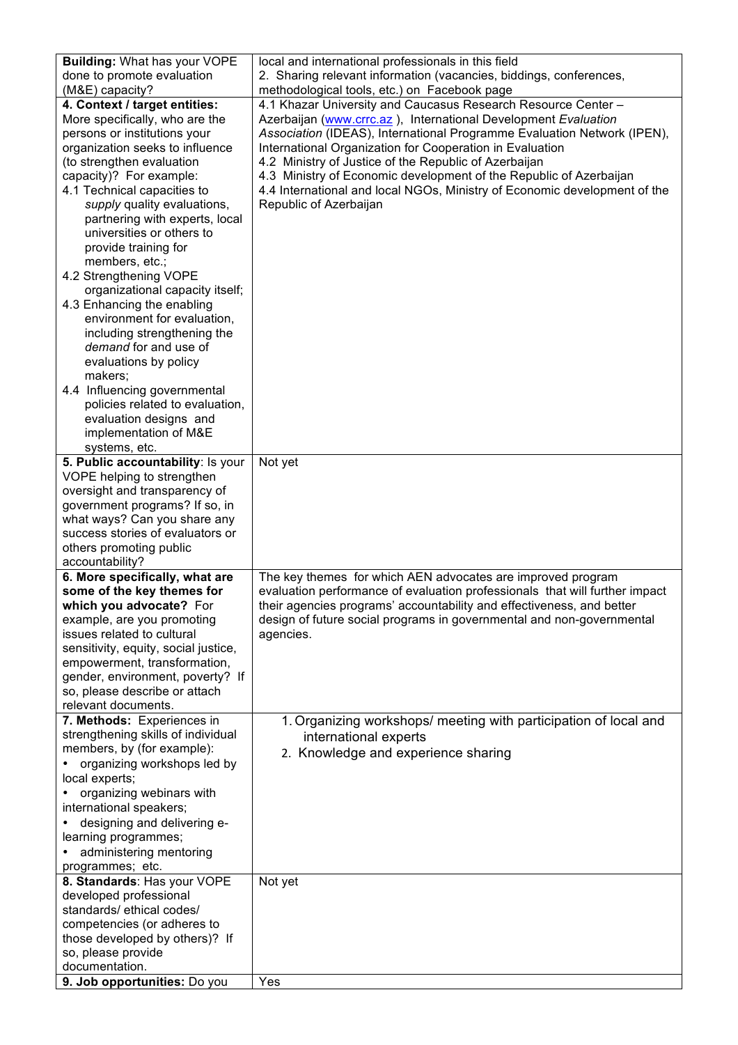| <b>Building: What has your VOPE</b>                                                                                                                                                                                                                                                                                                                                                                                                                                                                                                                                                                                                                                                  | local and international professionals in this field                                                                                                                                                                                                                                                                                                                                                                                                                                                          |
|--------------------------------------------------------------------------------------------------------------------------------------------------------------------------------------------------------------------------------------------------------------------------------------------------------------------------------------------------------------------------------------------------------------------------------------------------------------------------------------------------------------------------------------------------------------------------------------------------------------------------------------------------------------------------------------|--------------------------------------------------------------------------------------------------------------------------------------------------------------------------------------------------------------------------------------------------------------------------------------------------------------------------------------------------------------------------------------------------------------------------------------------------------------------------------------------------------------|
| done to promote evaluation                                                                                                                                                                                                                                                                                                                                                                                                                                                                                                                                                                                                                                                           | 2. Sharing relevant information (vacancies, biddings, conferences,                                                                                                                                                                                                                                                                                                                                                                                                                                           |
| (M&E) capacity?                                                                                                                                                                                                                                                                                                                                                                                                                                                                                                                                                                                                                                                                      | methodological tools, etc.) on Facebook page                                                                                                                                                                                                                                                                                                                                                                                                                                                                 |
| 4. Context / target entities:<br>More specifically, who are the<br>persons or institutions your<br>organization seeks to influence<br>(to strengthen evaluation<br>capacity)? For example:<br>4.1 Technical capacities to<br>supply quality evaluations,<br>partnering with experts, local<br>universities or others to<br>provide training for<br>members, etc.;<br>4.2 Strengthening VOPE<br>organizational capacity itself;<br>4.3 Enhancing the enabling<br>environment for evaluation,<br>including strengthening the<br>demand for and use of<br>evaluations by policy<br>makers;<br>4.4 Influencing governmental<br>policies related to evaluation,<br>evaluation designs and | 4.1 Khazar University and Caucasus Research Resource Center -<br>Azerbaijan (www.crrc.az), International Development Evaluation<br>Association (IDEAS), International Programme Evaluation Network (IPEN),<br>International Organization for Cooperation in Evaluation<br>4.2 Ministry of Justice of the Republic of Azerbaijan<br>4.3 Ministry of Economic development of the Republic of Azerbaijan<br>4.4 International and local NGOs, Ministry of Economic development of the<br>Republic of Azerbaijan |
| implementation of M&E                                                                                                                                                                                                                                                                                                                                                                                                                                                                                                                                                                                                                                                                |                                                                                                                                                                                                                                                                                                                                                                                                                                                                                                              |
| systems, etc.                                                                                                                                                                                                                                                                                                                                                                                                                                                                                                                                                                                                                                                                        |                                                                                                                                                                                                                                                                                                                                                                                                                                                                                                              |
| 5. Public accountability: Is your<br>VOPE helping to strengthen<br>oversight and transparency of<br>government programs? If so, in<br>what ways? Can you share any                                                                                                                                                                                                                                                                                                                                                                                                                                                                                                                   | Not yet                                                                                                                                                                                                                                                                                                                                                                                                                                                                                                      |
| success stories of evaluators or<br>others promoting public                                                                                                                                                                                                                                                                                                                                                                                                                                                                                                                                                                                                                          |                                                                                                                                                                                                                                                                                                                                                                                                                                                                                                              |
| accountability?                                                                                                                                                                                                                                                                                                                                                                                                                                                                                                                                                                                                                                                                      |                                                                                                                                                                                                                                                                                                                                                                                                                                                                                                              |
| 6. More specifically, what are<br>some of the key themes for<br>which you advocate? For<br>example, are you promoting<br>issues related to cultural<br>sensitivity, equity, social justice,<br>empowerment, transformation,<br>gender, environment, poverty? If<br>so, please describe or attach<br>relevant documents.                                                                                                                                                                                                                                                                                                                                                              | The key themes for which AEN advocates are improved program<br>evaluation performance of evaluation professionals that will further impact<br>their agencies programs' accountability and effectiveness, and better<br>design of future social programs in governmental and non-governmental<br>agencies.                                                                                                                                                                                                    |
| 7. Methods: Experiences in                                                                                                                                                                                                                                                                                                                                                                                                                                                                                                                                                                                                                                                           | 1. Organizing workshops/ meeting with participation of local and                                                                                                                                                                                                                                                                                                                                                                                                                                             |
| strengthening skills of individual<br>members, by (for example):<br>organizing workshops led by<br>local experts;<br>organizing webinars with<br>international speakers;<br>designing and delivering e-<br>learning programmes;<br>administering mentoring<br>programmes; etc.                                                                                                                                                                                                                                                                                                                                                                                                       | international experts<br>2. Knowledge and experience sharing                                                                                                                                                                                                                                                                                                                                                                                                                                                 |
| 8. Standards: Has your VOPE<br>developed professional                                                                                                                                                                                                                                                                                                                                                                                                                                                                                                                                                                                                                                | Not yet                                                                                                                                                                                                                                                                                                                                                                                                                                                                                                      |
| standards/ ethical codes/                                                                                                                                                                                                                                                                                                                                                                                                                                                                                                                                                                                                                                                            |                                                                                                                                                                                                                                                                                                                                                                                                                                                                                                              |
| competencies (or adheres to<br>those developed by others)? If                                                                                                                                                                                                                                                                                                                                                                                                                                                                                                                                                                                                                        |                                                                                                                                                                                                                                                                                                                                                                                                                                                                                                              |
| so, please provide                                                                                                                                                                                                                                                                                                                                                                                                                                                                                                                                                                                                                                                                   |                                                                                                                                                                                                                                                                                                                                                                                                                                                                                                              |
| documentation.<br>9. Job opportunities: Do you                                                                                                                                                                                                                                                                                                                                                                                                                                                                                                                                                                                                                                       | Yes                                                                                                                                                                                                                                                                                                                                                                                                                                                                                                          |